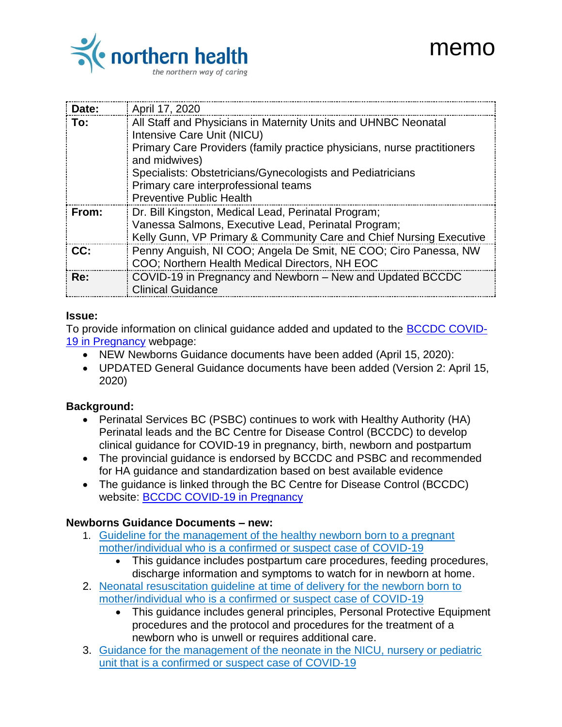

| THEITIO |
|---------|
|         |
|         |
|         |

 $\sim$   $\sim$ 

| Date: | April 17, 2020                                                                                                                                                                                                                                                                                                                    |
|-------|-----------------------------------------------------------------------------------------------------------------------------------------------------------------------------------------------------------------------------------------------------------------------------------------------------------------------------------|
| To:   | All Staff and Physicians in Maternity Units and UHNBC Neonatal<br>Intensive Care Unit (NICU)<br>Primary Care Providers (family practice physicians, nurse practitioners<br>and midwives)<br>Specialists: Obstetricians/Gynecologists and Pediatricians<br>Primary care interprofessional teams<br><b>Preventive Public Health</b> |
| From: | Dr. Bill Kingston, Medical Lead, Perinatal Program;<br>Vanessa Salmons, Executive Lead, Perinatal Program;<br>Kelly Gunn, VP Primary & Community Care and Chief Nursing Executive                                                                                                                                                 |
| CC:   | Penny Anguish, NI COO; Angela De Smit, NE COO; Ciro Panessa, NW<br>COO; Northern Health Medical Directors, NH EOC                                                                                                                                                                                                                 |
| Re:   | COVID-19 in Pregnancy and Newborn - New and Updated BCCDC<br><b>Clinical Guidance</b>                                                                                                                                                                                                                                             |

## **Issue:**

To provide information on clinical guidance added and updated to the [BCCDC COVID-](http://www.bccdc.ca/health-professionals/clinical-resources/covid-19-care/clinical-care/pregnancy)[19 in Pregnancy](http://www.bccdc.ca/health-professionals/clinical-resources/covid-19-care/clinical-care/pregnancy) webpage:

- NEW Newborns Guidance documents have been added (April 15, 2020):
- UPDATED General Guidance documents have been added (Version 2: April 15, 2020)

## **Background:**

- Perinatal Services BC (PSBC) continues to work with Healthy Authority (HA) Perinatal leads and the BC Centre for Disease Control (BCCDC) to develop clinical guidance for COVID-19 in pregnancy, birth, newborn and postpartum
- The provincial quidance is endorsed by BCCDC and PSBC and recommended for HA guidance and standardization based on best available evidence
- The quidance is linked through the BC Centre for Disease Control (BCCDC) website: [BCCDC COVID-19 in Pregnancy](http://www.bccdc.ca/health-professionals/clinical-resources/covid-19-care/clinical-care/pregnancy)

## **Newborns Guidance Documents – new:**

- 1. [Guideline for the management of the healthy newborn born to a pregnant](http://www.bccdc.ca/Health-Professionals-Site/Documents/COVID19_GuidelineMgmtHealthyNewbornMotherConfirmedOrSuspect.pdf)  [mother/individual who is a confirmed or suspect case of COVID-19](http://www.bccdc.ca/Health-Professionals-Site/Documents/COVID19_GuidelineMgmtHealthyNewbornMotherConfirmedOrSuspect.pdf)
	- This guidance includes postpartum care procedures, feeding procedures, discharge information and symptoms to watch for in newborn at home.
- 2. [Neonatal resuscitation guideline at time of delivery for the newborn born to](http://www.bccdc.ca/Health-Professionals-Site/Documents/COVID19_GuidelineNewbornResuscitationTimeOfBirth.pdf)  [mother/individual who is a confirmed or suspect case of COVID-19](http://www.bccdc.ca/Health-Professionals-Site/Documents/COVID19_GuidelineNewbornResuscitationTimeOfBirth.pdf)
	- This guidance includes general principles, Personal Protective Equipment procedures and the protocol and procedures for the treatment of a newborn who is unwell or requires additional care.
- 3. [Guidance for the management of the neonate in the NICU, nursery or pediatric](http://www.bccdc.ca/Health-Professionals-Site/Documents/COVID19_GuidelineMgmtNeonateNICU.pdf)  [unit that is a confirmed or suspect case of COVID-19](http://www.bccdc.ca/Health-Professionals-Site/Documents/COVID19_GuidelineMgmtNeonateNICU.pdf)